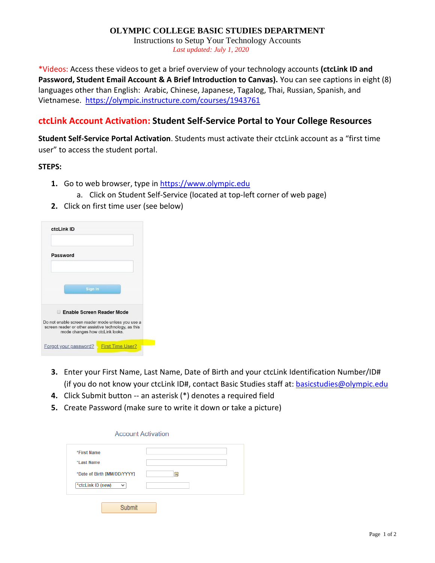### **OLYMPIC COLLEGE BASIC STUDIES DEPARTMENT**

Instructions to Setup Your Technology Accounts *Last updated: July 1, 2020*

\*Videos: Access these videos to get a brief overview of your technology accounts **(ctcLink ID and Password, Student Email Account & A Brief Introduction to Canvas).** You can see captions in eight (8) languages other than English: Arabic, Chinese, Japanese, Tagalog, Thai, Russian, Spanish, and Vietnamese. <https://olympic.instructure.com/courses/1943761>

## **ctcLink Account Activation: Student Self-Service Portal to Your College Resources**

**Student Self-Service Portal Activation**. Students must activate their ctcLink account as a "first time user" to access the student portal.

#### **STEPS:**

- **1.** Go to web browser, type in [https://www.olympic.edu](https://www.olympic.edu/)
	- a. Click on Student Self-Service (located at top-left corner of web page)
- **2.** Click on first time user (see below)

| ctcLink ID                                                                                                                                   |                         |
|----------------------------------------------------------------------------------------------------------------------------------------------|-------------------------|
| Password                                                                                                                                     |                         |
| Sign In                                                                                                                                      |                         |
| <b>Enable Screen Reader Mode</b><br>m                                                                                                        |                         |
| Do not enable screen reader mode unless you use a<br>screen reader or other assistive technology, as this<br>mode changes how ctcLink looks. |                         |
| Forgot your password?                                                                                                                        | <b>First Time User?</b> |

- **3.** Enter your First Name, Last Name, Date of Birth and your ctcLink Identification Number/ID# (if you do not know your ctcLink ID#, contact Basic Studies staff at: [basicstudies@olympic.edu](mailto:basicstudies@olympic.edu)
- **4.** Click Submit button -- an asterisk (\*) denotes a required field
- **5.** Create Password (make sure to write it down or take a picture)

| *First Name                       |   |
|-----------------------------------|---|
| *Last Name                        |   |
| *Date of Birth [MM/DD/YYYY]       | 苘 |
| *ctcLink ID (new)<br>$\checkmark$ |   |